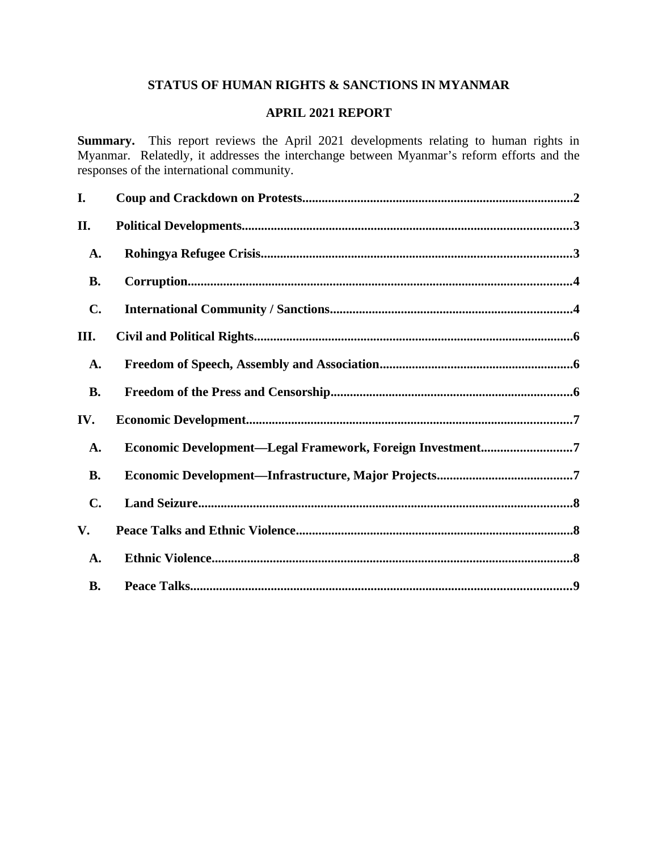# **STATUS OF HUMAN RIGHTS & SANCTIONS IN MYANMAR**

# **APRIL 2021 REPORT**

**Summary.** This report reviews the April 2021 developments relating to human rights in Myanmar. Relatedly, it addresses the interchange between Myanmar's reform efforts and the responses of the international community.

| I.             |                                                           |
|----------------|-----------------------------------------------------------|
| II.            |                                                           |
| A.             |                                                           |
| <b>B.</b>      |                                                           |
| $\mathbf{C}$ . |                                                           |
| III.           |                                                           |
| A.             |                                                           |
| <b>B.</b>      |                                                           |
| IV.            |                                                           |
| A.             | Economic Development-Legal Framework, Foreign Investment7 |
| <b>B.</b>      |                                                           |
| $\mathbf{C}$ . |                                                           |
| V.             |                                                           |
| A.             |                                                           |
| <b>B.</b>      |                                                           |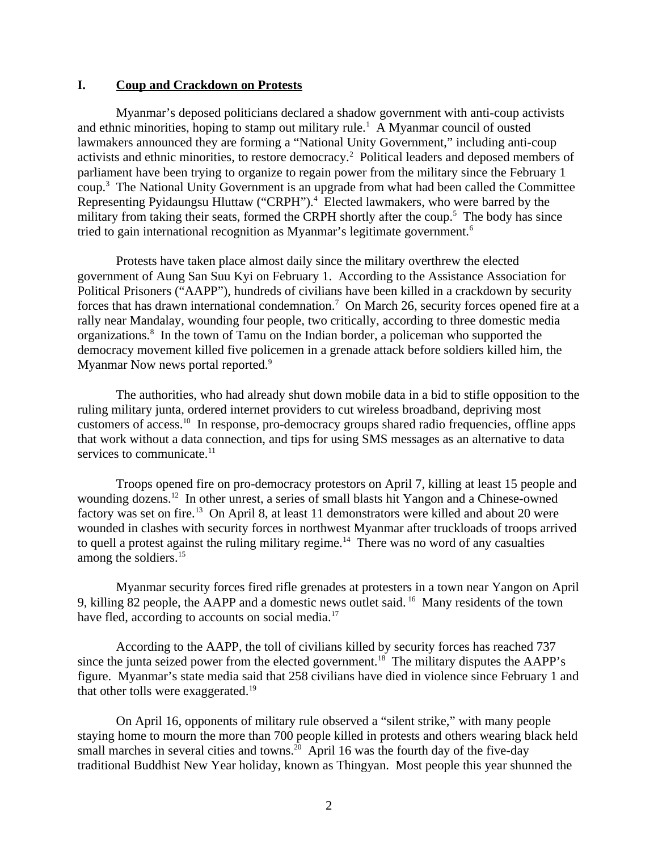### <span id="page-1-0"></span>**I. Coup and Crackdown on Protests**

Myanmar's deposed politicians declared a shadow government with anti-coup activists and ethnic minorities, hoping to stamp out military rule.<sup>1</sup> A Myanmar council of ousted lawmakers announced they are forming a "National Unity Government," including anti-coup activists and ethnic minorities, to restore democracy.<sup>2</sup> Political leaders and deposed members of parliament have been trying to organize to regain power from the military since the February 1 coup.<sup>3</sup> The National Unity Government is an upgrade from what had been called the Committee Representing Pyidaungsu Hluttaw ("CRPH").<sup>4</sup> Elected lawmakers, who were barred by the military from taking their seats, formed the CRPH shortly after the coup.<sup>5</sup> The body has since tried to gain international recognition as Myanmar's legitimate government.<sup>6</sup>

Protests have taken place almost daily since the military overthrew the elected government of Aung San Suu Kyi on February 1. According to the Assistance Association for Political Prisoners ("AAPP"), hundreds of civilians have been killed in a crackdown by security forces that has drawn international condemnation.<sup>7</sup> On March 26, security forces opened fire at a rally near Mandalay, wounding four people, two critically, according to three domestic media organizations.<sup>8</sup> In the town of Tamu on the Indian border, a policeman who supported the democracy movement killed five policemen in a grenade attack before soldiers killed him, the Myanmar Now news portal reported.<sup>9</sup>

The authorities, who had already shut down mobile data in a bid to stifle opposition to the ruling military junta, ordered internet providers to cut wireless broadband, depriving most customers of access.<sup>10</sup> In response, pro-democracy groups shared radio frequencies, offline apps that work without a data connection, and tips for using SMS messages as an alternative to data services to communicate.<sup>11</sup>

Troops opened fire on pro-democracy protestors on April 7, killing at least 15 people and wounding dozens.<sup>12</sup> In other unrest, a series of small blasts hit Yangon and a Chinese-owned factory was set on fire.<sup>13</sup> On April 8, at least 11 demonstrators were killed and about 20 were wounded in clashes with security forces in northwest Myanmar after truckloads of troops arrived to quell a protest against the ruling military regime.<sup>14</sup> There was no word of any casualties among the soldiers.<sup>15</sup>

Myanmar security forces fired rifle grenades at protesters in a town near Yangon on April 9, killing 82 people, the AAPP and a domestic news outlet said.<sup>16</sup> Many residents of the town have fled, according to accounts on social media.<sup>17</sup>

According to the AAPP, the toll of civilians killed by security forces has reached 737 since the junta seized power from the elected government.<sup>18</sup> The military disputes the AAPP's figure. Myanmar's state media said that 258 civilians have died in violence since February 1 and that other tolls were exaggerated.<sup>19</sup>

On April 16, opponents of military rule observed a "silent strike," with many people staying home to mourn the more than 700 people killed in protests and others wearing black held small marches in several cities and towns.<sup>20</sup> April 16 was the fourth day of the five-day traditional Buddhist New Year holiday, known as Thingyan. Most people this year shunned the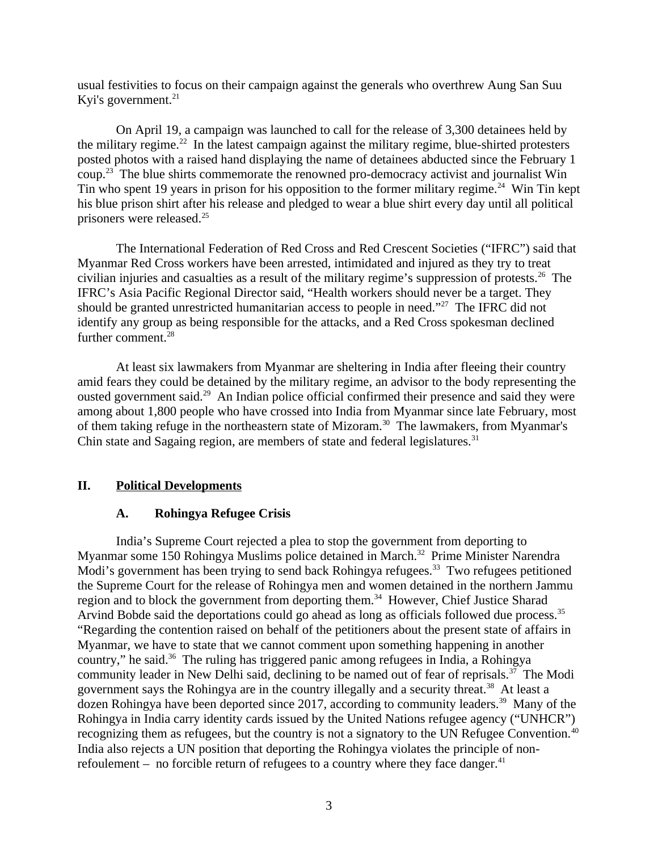usual festivities to focus on their campaign against the generals who overthrew Aung San Suu Kyi's government. $21$ 

On April 19, a campaign was launched to call for the release of 3,300 detainees held by the military regime.<sup>22</sup> In the latest campaign against the military regime, blue-shirted protesters posted photos with a raised hand displaying the name of detainees abducted since the February 1 coup.<sup>23</sup> The blue shirts commemorate the renowned pro-democracy activist and journalist Win Tin who spent 19 years in prison for his opposition to the former military regime.<sup>24</sup> Win Tin kept his blue prison shirt after his release and pledged to wear a blue shirt every day until all political prisoners were released.<sup>25</sup>

The International Federation of Red Cross and Red Crescent Societies ("IFRC") said that Myanmar Red Cross workers have been arrested, intimidated and injured as they try to treat civilian injuries and casualties as a result of the military regime's suppression of protests.<sup>26</sup> The IFRC's Asia Pacific Regional Director said, "Health workers should never be a target. They should be granted unrestricted humanitarian access to people in need."<sup>27</sup> The IFRC did not identify any group as being responsible for the attacks, and a Red Cross spokesman declined further comment.<sup>28</sup>

At least six lawmakers from Myanmar are sheltering in India after fleeing their country amid fears they could be detained by the military regime, an advisor to the body representing the ousted government said.<sup>29</sup> An Indian police official confirmed their presence and said they were among about 1,800 people who have crossed into India from Myanmar since late February, most of them taking refuge in the northeastern state of Mizoram.<sup>30</sup> The lawmakers, from Myanmar's Chin state and Sagaing region, are members of state and federal legislatures. $31$ 

# **II. Political Developments**

# <span id="page-2-1"></span><span id="page-2-0"></span>**A. Rohingya Refugee Crisis**

India's Supreme Court rejected a plea to stop the government from deporting to Myanmar some 150 Rohingya Muslims police detained in March.<sup>32</sup> Prime Minister Narendra Modi's government has been trying to send back Rohingya refugees.<sup>33</sup> Two refugees petitioned the Supreme Court for the release of Rohingya men and women detained in the northern Jammu region and to block the government from deporting them.<sup>34</sup> However, Chief Justice Sharad Arvind Bobde said the deportations could go ahead as long as officials followed due process.<sup>35</sup> "Regarding the contention raised on behalf of the petitioners about the present state of affairs in Myanmar, we have to state that we cannot comment upon something happening in another country," he said.<sup>36</sup> The ruling has triggered panic among refugees in India, a Rohingya community leader in New Delhi said, declining to be named out of fear of reprisals.<sup>37</sup> The Modi government says the Rohingya are in the country illegally and a security threat.<sup>38</sup> At least a dozen Rohingya have been deported since 2017, according to community leaders.<sup>39</sup> Many of the Rohingya in India carry identity cards issued by the United Nations refugee agency ("UNHCR") recognizing them as refugees, but the country is not a signatory to the UN Refugee Convention.<sup>40</sup> India also rejects a UN position that deporting the Rohingya violates the principle of nonrefoulement – no forcible return of refugees to a country where they face danger.<sup>41</sup>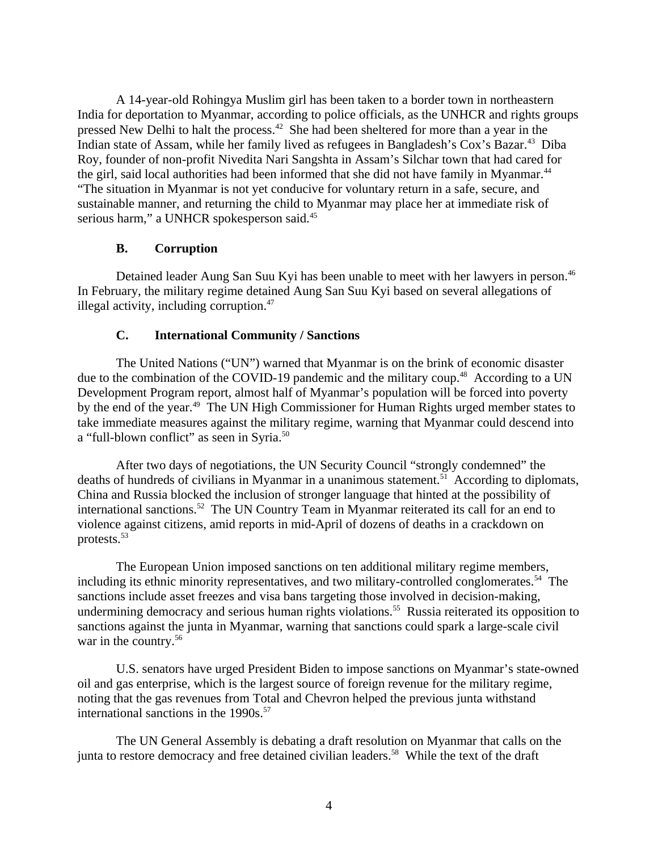A 14-year-old Rohingya Muslim girl has been taken to a border town in northeastern India for deportation to Myanmar, according to police officials, as the UNHCR and rights groups pressed New Delhi to halt the process.<sup>42</sup> She had been sheltered for more than a year in the Indian state of Assam, while her family lived as refugees in Bangladesh's Cox's Bazar.<sup>43</sup> Diba Roy, founder of non-profit Nivedita Nari Sangshta in Assam's Silchar town that had cared for the girl, said local authorities had been informed that she did not have family in Myanmar.<sup>44</sup> "The situation in Myanmar is not yet conducive for voluntary return in a safe, secure, and sustainable manner, and returning the child to Myanmar may place her at immediate risk of serious harm," a UNHCR spokesperson said.<sup>45</sup>

# <span id="page-3-1"></span>**B. Corruption**

Detained leader Aung San Suu Kyi has been unable to meet with her lawyers in person.<sup>46</sup> In February, the military regime detained Aung San Suu Kyi based on several allegations of illegal activity, including corruption. $47$ 

# <span id="page-3-0"></span>**C. International Community / Sanctions**

The United Nations ("UN") warned that Myanmar is on the brink of economic disaster due to the combination of the COVID-19 pandemic and the military coup.<sup>48</sup> According to a UN Development Program report, almost half of Myanmar's population will be forced into poverty by the end of the year.<sup>49</sup> The UN High Commissioner for Human Rights urged member states to take immediate measures against the military regime, warning that Myanmar could descend into a "full-blown conflict" as seen in Syria.<sup>50</sup>

After two days of negotiations, the UN Security Council "strongly condemned" the deaths of hundreds of civilians in Myanmar in a unanimous statement.<sup>51</sup> According to diplomats, China and Russia blocked the inclusion of stronger language that hinted at the possibility of international sanctions.<sup>52</sup> The UN Country Team in Myanmar reiterated its call for an end to violence against citizens, amid reports in mid-April of dozens of deaths in a crackdown on protests. $^{53}$ 

The European Union imposed sanctions on ten additional military regime members, including its ethnic minority representatives, and two military-controlled conglomerates.<sup>54</sup> The sanctions include asset freezes and visa bans targeting those involved in decision-making, undermining democracy and serious human rights violations.<sup>55</sup> Russia reiterated its opposition to sanctions against the junta in Myanmar, warning that sanctions could spark a large-scale civil war in the country.<sup>56</sup>

U.S. senators have urged President Biden to impose sanctions on Myanmar's state-owned oil and gas enterprise, which is the largest source of foreign revenue for the military regime, noting that the gas revenues from Total and Chevron helped the previous junta withstand international sanctions in the  $1990s.^{57}$ .

The UN General Assembly is debating a draft resolution on Myanmar that calls on the junta to restore democracy and free detained civilian leaders.<sup>58</sup> While the text of the draft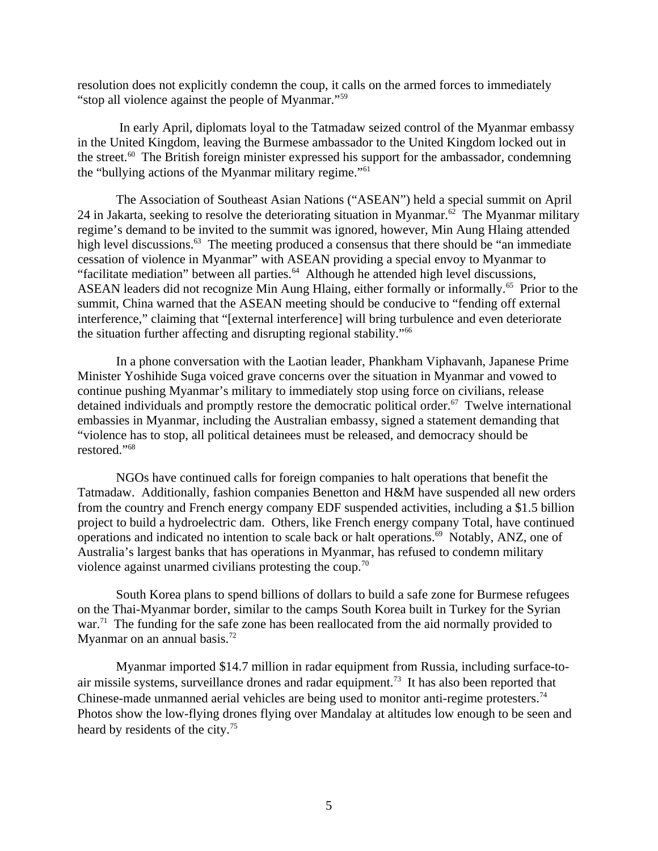resolution does not explicitly condemn the coup, it calls on the armed forces to immediately "stop all violence against the people of Myanmar."<sup>59</sup>

 In early April, diplomats loyal to the Tatmadaw seized control of the Myanmar embassy in the United Kingdom, leaving the Burmese ambassador to the United Kingdom locked out in the street. $60$  The British foreign minister expressed his support for the ambassador, condemning the "bullying actions of the Myanmar military regime."<sup>61</sup>

The Association of Southeast Asian Nations ("ASEAN") held a special summit on April 24 in Jakarta, seeking to resolve the deteriorating situation in Myanmar.<sup>62</sup> The Myanmar military regime's demand to be invited to the summit was ignored, however, Min Aung Hlaing attended high level discussions.<sup>63</sup> The meeting produced a consensus that there should be "an immediate cessation of violence in Myanmar" with ASEAN providing a special envoy to Myanmar to "facilitate mediation" between all parties. $64$  Although he attended high level discussions, ASEAN leaders did not recognize Min Aung Hlaing, either formally or informally.<sup>65</sup> Prior to the summit, China warned that the ASEAN meeting should be conducive to "fending off external interference," claiming that "[external interference] will bring turbulence and even deteriorate the situation further affecting and disrupting regional stability."<sup>66</sup>

In a phone conversation with the Laotian leader, Phankham Viphavanh, Japanese Prime Minister Yoshihide Suga voiced grave concerns over the situation in Myanmar and vowed to continue pushing Myanmar's military to immediately stop using force on civilians, release detained individuals and promptly restore the democratic political order. $67$  Twelve international embassies in Myanmar, including the Australian embassy, signed a statement demanding that "violence has to stop, all political detainees must be released, and democracy should be restored."<sup>68</sup>

NGOs have continued calls for foreign companies to halt operations that benefit the Tatmadaw. Additionally, fashion companies Benetton and H&M have suspended all new orders from the country and French energy company EDF suspended activities, including a \$1.5 billion project to build a hydroelectric dam. Others, like French energy company Total, have continued operations and indicated no intention to scale back or halt operations.<sup>69</sup> Notably, ANZ, one of Australia's largest banks that has operations in Myanmar, has refused to condemn military violence against unarmed civilians protesting the coup.<sup>70</sup>

South Korea plans to spend billions of dollars to build a safe zone for Burmese refugees on the Thai-Myanmar border, similar to the camps South Korea built in Turkey for the Syrian war.<sup>71</sup> The funding for the safe zone has been reallocated from the aid normally provided to Myanmar on an annual basis. $72$ 

Myanmar imported \$14.7 million in radar equipment from Russia, including surface-toair missile systems, surveillance drones and radar equipment.<sup>73</sup> It has also been reported that Chinese-made unmanned aerial vehicles are being used to monitor anti-regime protesters.<sup>74</sup> Photos show the low-flying drones flying over Mandalay at altitudes low enough to be seen and heard by residents of the city.<sup>75</sup>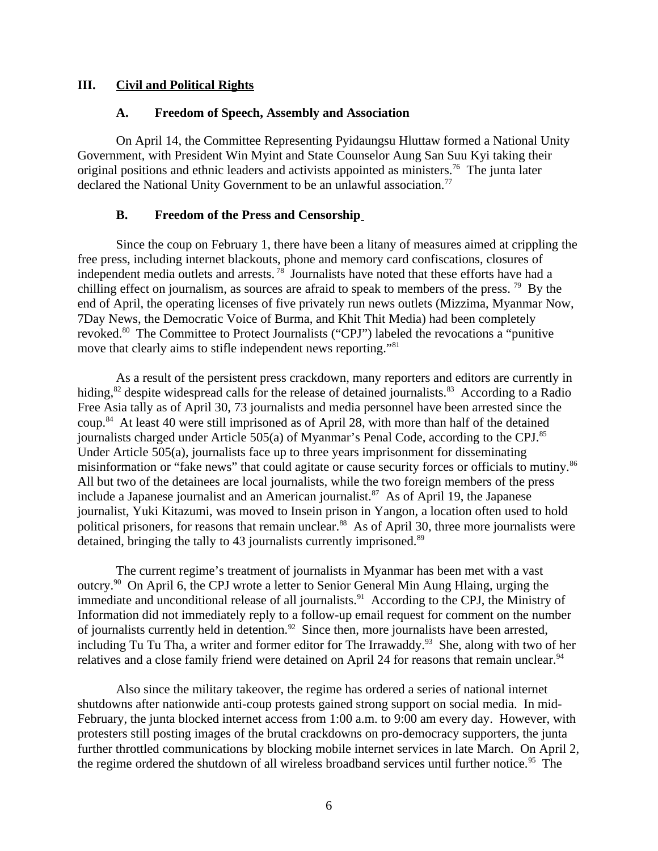## **III. Civil and Political Rights**

## <span id="page-5-2"></span><span id="page-5-1"></span>**A. Freedom of Speech, Assembly and Association**

On April 14, the Committee Representing Pyidaungsu Hluttaw formed a National Unity Government, with President Win Myint and State Counselor Aung San Suu Kyi taking their original positions and ethnic leaders and activists appointed as ministers.<sup>76</sup> The junta later declared the National Unity Government to be an unlawful association.<sup>77</sup>

## <span id="page-5-0"></span>**B. Freedom of the Press and Censorship**

Since the coup on February 1, there have been a litany of measures aimed at crippling the free press, including internet blackouts, phone and memory card confiscations, closures of independent media outlets and arrests.<sup>78</sup> Journalists have noted that these efforts have had a chilling effect on journalism, as sources are afraid to speak to members of the press.  $^{79}$  By the end of April, the operating licenses of five privately run news outlets (Mizzima, Myanmar Now, 7Day News, the Democratic Voice of Burma, and Khit Thit Media) had been completely revoked.<sup>80</sup> The Committee to Protect Journalists ("CPJ") labeled the revocations a "punitive move that clearly aims to stifle independent news reporting."<sup>81</sup>

As a result of the persistent press crackdown, many reporters and editors are currently in hiding,<sup>82</sup> despite widespread calls for the release of detained journalists.<sup>83</sup> According to a Radio Free Asia tally as of April 30, 73 journalists and media personnel have been arrested since the coup.<sup>84</sup> At least 40 were still imprisoned as of April 28, with more than half of the detained journalists charged under Article 505(a) of Myanmar's Penal Code, according to the CPJ.<sup>85</sup> Under Article 505(a), journalists face up to three years imprisonment for disseminating misinformation or "fake news" that could agitate or cause security forces or officials to mutiny.<sup>86</sup> All but two of the detainees are local journalists, while the two foreign members of the press include a Japanese journalist and an American journalist.<sup>87</sup> As of April 19, the Japanese journalist, Yuki Kitazumi, was moved to Insein prison in Yangon, a location often used to hold political prisoners, for reasons that remain unclear.<sup>88</sup> As of April 30, three more journalists were detained, bringing the tally to 43 journalists currently imprisoned.<sup>89</sup>

The current regime's treatment of journalists in Myanmar has been met with a vast outcry.<sup>90</sup> On April 6, the CPJ wrote a letter to Senior General Min Aung Hlaing, urging the immediate and unconditional release of all journalists.<sup>91</sup> According to the CPJ, the Ministry of Information did not immediately reply to a follow-up email request for comment on the number of journalists currently held in detention.<sup>92</sup> Since then, more journalists have been arrested, including Tu Tu Tha, a writer and former editor for The Irrawaddy.<sup>93</sup> She, along with two of her relatives and a close family friend were detained on April 24 for reasons that remain unclear.<sup>94</sup>

Also since the military takeover, the regime has ordered a series of national internet shutdowns after nationwide anti-coup protests gained strong support on social media. In mid-February, the junta blocked internet access from 1:00 a.m. to 9:00 am every day. However, with protesters still posting images of the brutal crackdowns on pro-democracy supporters, the junta further throttled communications by blocking mobile internet services in late March. On April 2, the regime ordered the shutdown of all wireless broadband services until further notice.<sup>95</sup> The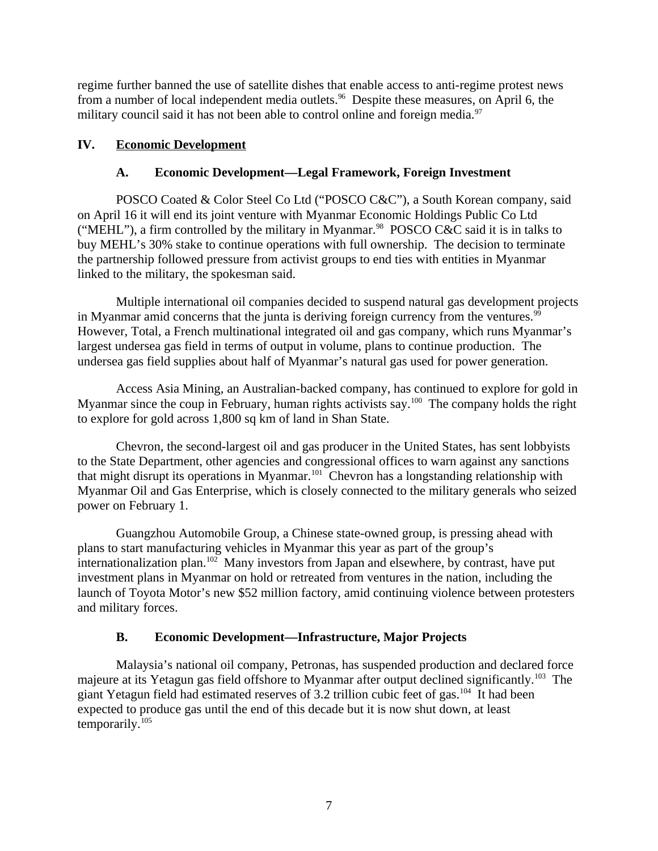regime further banned the use of satellite dishes that enable access to anti-regime protest news from a number of local independent media outlets.<sup>96</sup> Despite these measures, on April 6, the military council said it has not been able to control online and foreign media.<sup>97</sup>

# **IV. Economic Development**

# <span id="page-6-2"></span><span id="page-6-1"></span>**A. Economic Development—Legal Framework, Foreign Investment**

POSCO Coated & Color Steel Co Ltd ("POSCO C&C"), a South Korean company, said on April 16 it will end its joint venture with Myanmar Economic Holdings Public Co Ltd ("MEHL"), a firm controlled by the military in Myanmar.<sup>98</sup> POSCO C&C said it is in talks to buy MEHL's 30% stake to continue operations with full ownership. The decision to terminate the partnership followed pressure from activist groups to end ties with entities in Myanmar linked to the military, the spokesman said.

Multiple international oil companies decided to suspend natural gas development projects in Myanmar amid concerns that the junta is deriving foreign currency from the ventures. $99$ However, Total, a French multinational integrated oil and gas company, which runs Myanmar's largest undersea gas field in terms of output in volume, plans to continue production. The undersea gas field supplies about half of Myanmar's natural gas used for power generation.

Access Asia Mining, an Australian-backed company, has continued to explore for gold in Myanmar since the coup in February, human rights activists say.<sup>100</sup> The company holds the right to explore for gold across 1,800 sq km of land in Shan State.

Chevron, the second-largest oil and gas producer in the United States, has sent lobbyists to the State Department, other agencies and congressional offices to warn against any sanctions that might disrupt its operations in Myanmar.<sup>101</sup> Chevron has a longstanding relationship with Myanmar Oil and Gas Enterprise, which is closely connected to the military generals who seized power on February 1.

Guangzhou Automobile Group, a Chinese state-owned group, is pressing ahead with plans to start manufacturing vehicles in Myanmar this year as part of the group's internationalization plan.<sup>102</sup> Many investors from Japan and elsewhere, by contrast, have put investment plans in Myanmar on hold or retreated from ventures in the nation, including the launch of Toyota Motor's new \$52 million factory, amid continuing violence between protesters and military forces.

# <span id="page-6-0"></span>**B. Economic Development—Infrastructure, Major Projects**

Malaysia's national oil company, Petronas, has suspended production and declared force majeure at its Yetagun gas field offshore to Myanmar after output declined significantly.<sup>103</sup> The giant Yetagun field had estimated reserves of 3.2 trillion cubic feet of gas.<sup>104</sup> It had been expected to produce gas until the end of this decade but it is now shut down, at least temporarily.<sup>105</sup>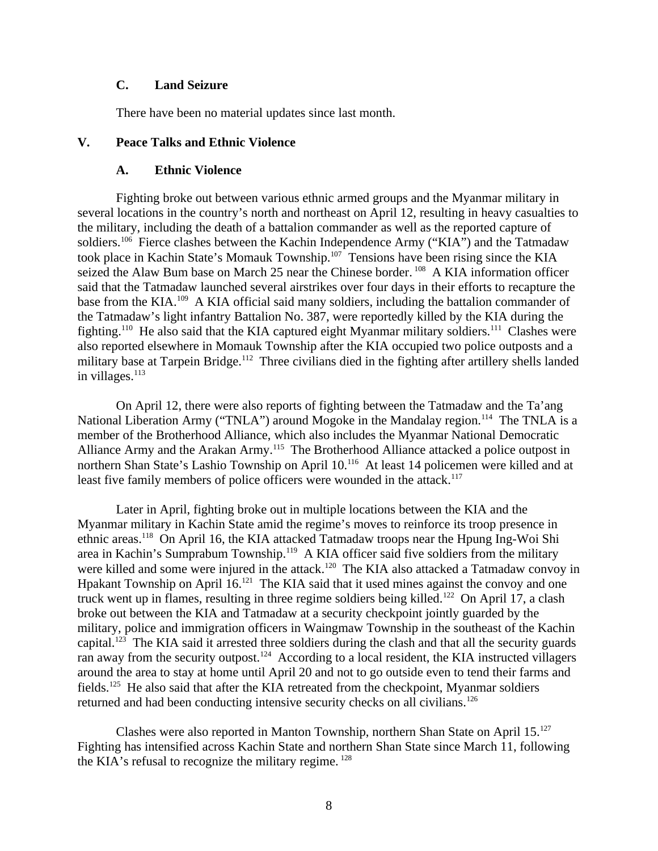## <span id="page-7-2"></span>**C. Land Seizure**

<span id="page-7-1"></span>There have been no material updates since last month.

## **V. Peace Talks and Ethnic Violence**

### <span id="page-7-0"></span>**A. Ethnic Violence**

Fighting broke out between various ethnic armed groups and the Myanmar military in several locations in the country's north and northeast on April 12, resulting in heavy casualties to the military, including the death of a battalion commander as well as the reported capture of soldiers.<sup>106</sup> Fierce clashes between the Kachin Independence Army ("KIA") and the Tatmadaw took place in Kachin State's Momauk Township.<sup>107</sup> Tensions have been rising since the KIA seized the Alaw Bum base on March 25 near the Chinese border.<sup>108</sup> A KIA information officer said that the Tatmadaw launched several airstrikes over four days in their efforts to recapture the base from the KIA.<sup>109</sup> A KIA official said many soldiers, including the battalion commander of the Tatmadaw's light infantry Battalion No. 387, were reportedly killed by the KIA during the fighting.<sup>110</sup> He also said that the KIA captured eight Myanmar military soldiers.<sup>111</sup> Clashes were also reported elsewhere in Momauk Township after the KIA occupied two police outposts and a military base at Tarpein Bridge.<sup>112</sup> Three civilians died in the fighting after artillery shells landed in villages. $113$ 

On April 12, there were also reports of fighting between the Tatmadaw and the Ta'ang National Liberation Army ("TNLA") around Mogoke in the Mandalay region.<sup>114</sup> The TNLA is a member of the Brotherhood Alliance, which also includes the Myanmar National Democratic Alliance Army and the Arakan Army.<sup>115</sup> The Brotherhood Alliance attacked a police outpost in northern Shan State's Lashio Township on April 10.<sup>116</sup> At least 14 policemen were killed and at least five family members of police officers were wounded in the attack.<sup>117</sup>

Later in April, fighting broke out in multiple locations between the KIA and the Myanmar military in Kachin State amid the regime's moves to reinforce its troop presence in ethnic areas.<sup>118</sup> On April 16, the KIA attacked Tatmadaw troops near the Hpung Ing-Woi Shi area in Kachin's Sumprabum Township.<sup>119</sup> A KIA officer said five soldiers from the military were killed and some were injured in the attack.<sup>120</sup> The KIA also attacked a Tatmadaw convoy in Hpakant Township on April 16.<sup>121</sup> The KIA said that it used mines against the convoy and one truck went up in flames, resulting in three regime soldiers being killed.<sup>122</sup> On April 17, a clash broke out between the KIA and Tatmadaw at a security checkpoint jointly guarded by the military, police and immigration officers in Waingmaw Township in the southeast of the Kachin capital.<sup>123</sup> The KIA said it arrested three soldiers during the clash and that all the security guards ran away from the security outpost.<sup>124</sup> According to a local resident, the KIA instructed villagers around the area to stay at home until April 20 and not to go outside even to tend their farms and fields.<sup>125</sup> He also said that after the KIA retreated from the checkpoint, Myanmar soldiers returned and had been conducting intensive security checks on all civilians.<sup>126</sup>

Clashes were also reported in Manton Township, northern Shan State on April  $15.^{127}$ Fighting has intensified across Kachin State and northern Shan State since March 11, following the KIA's refusal to recognize the military regime.<sup>128</sup>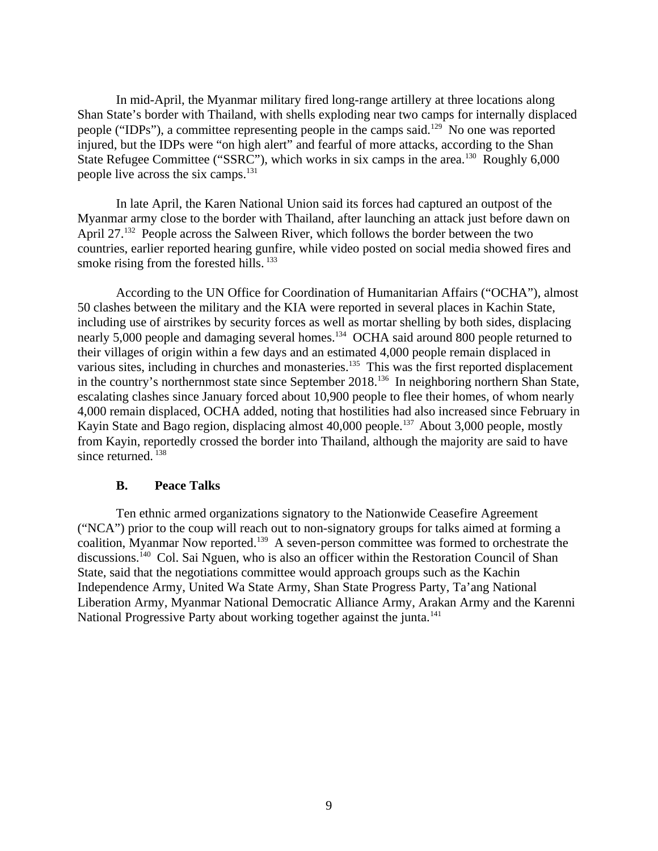In mid-April, the Myanmar military fired long-range artillery at three locations along Shan State's border with Thailand, with shells exploding near two camps for internally displaced people ("IDPs"), a committee representing people in the camps said.<sup>129</sup> No one was reported injured, but the IDPs were "on high alert" and fearful of more attacks, according to the Shan State Refugee Committee ("SSRC"), which works in six camps in the area.<sup>130</sup> Roughly 6,000 people live across the six camps.<sup>131</sup>

In late April, the Karen National Union said its forces had captured an outpost of the Myanmar army close to the border with Thailand, after launching an attack just before dawn on April 27.<sup>132</sup> People across the Salween River, which follows the border between the two countries, earlier reported hearing gunfire, while video posted on social media showed fires and smoke rising from the forested hills.  $133$ 

According to the UN Office for Coordination of Humanitarian Affairs ("OCHA"), almost 50 clashes between the military and the KIA were reported in several places in Kachin State, including use of airstrikes by security forces as well as mortar shelling by both sides, displacing nearly 5,000 people and damaging several homes.<sup>134</sup> OCHA said around 800 people returned to their villages of origin within a few days and an estimated 4,000 people remain displaced in various sites, including in churches and monasteries.<sup>135</sup> This was the first reported displacement in the country's northernmost state since September 2018.<sup>136</sup> In neighboring northern Shan State, escalating clashes since January forced about 10,900 people to flee their homes, of whom nearly 4,000 remain displaced, OCHA added, noting that hostilities had also increased since February in Kayin State and Bago region, displacing almost 40,000 people.<sup>137</sup> About 3,000 people, mostly from Kayin, reportedly crossed the border into Thailand, although the majority are said to have since returned.<sup>138</sup>

#### <span id="page-8-0"></span>**B. Peace Talks**

Ten ethnic armed organizations signatory to the Nationwide Ceasefire Agreement ("NCA") prior to the coup will reach out to non-signatory groups for talks aimed at forming a coalition, Myanmar Now reported.<sup>139</sup> A seven-person committee was formed to orchestrate the discussions.<sup>140</sup> Col. Sai Nguen, who is also an officer within the Restoration Council of Shan State, said that the negotiations committee would approach groups such as the Kachin Independence Army, United Wa State Army, Shan State Progress Party, Ta'ang National Liberation Army, Myanmar National Democratic Alliance Army, Arakan Army and the Karenni National Progressive Party about working together against the junta.<sup>141</sup>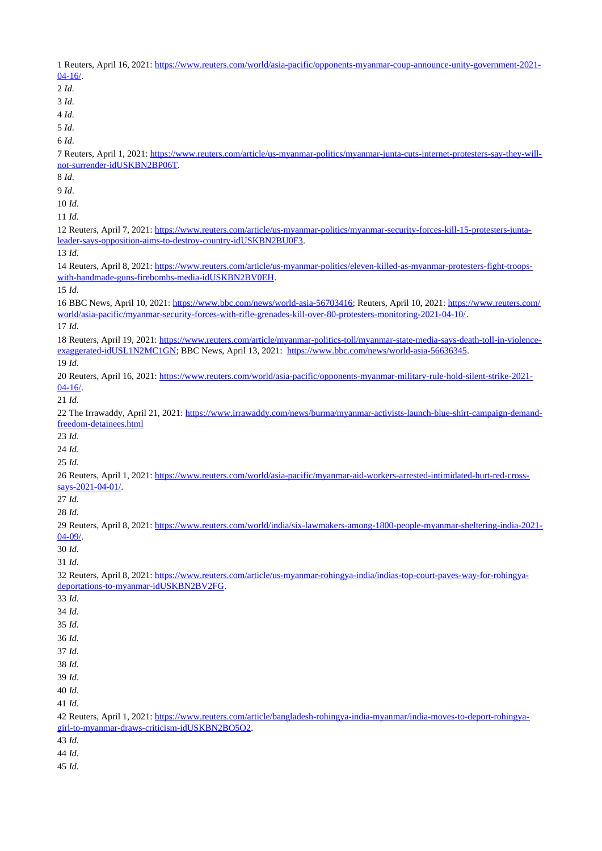Reuters, April 16, 2021: [https://www.reuters.com/world/asia-pacific/opponents-myanmar-coup-announce-unity-government-2021-](https://www.reuters.com/world/asia-pacific/opponents-myanmar-coup-announce-unity-government-2021-04-16/) [04-16/.](https://www.reuters.com/world/asia-pacific/opponents-myanmar-coup-announce-unity-government-2021-04-16/) *Id*. *Id*. *Id*. *Id*. *Id*. Reuters, April 1, 2021: [https://www.reuters.com/article/us-myanmar-politics/myanmar-junta-cuts-internet-protesters-say-they-will](https://www.reuters.com/article/us-myanmar-politics/myanmar-junta-cuts-internet-protesters-say-they-will-not-surrender-idUSKBN2BP06T)[not-surrender-idUSKBN2BP06T.](https://www.reuters.com/article/us-myanmar-politics/myanmar-junta-cuts-internet-protesters-say-they-will-not-surrender-idUSKBN2BP06T) *Id*. *Id*. *Id*. *Id*. Reuters, April 7, 2021: [https://www.reuters.com/article/us-myanmar-politics/myanmar-security-forces-kill-15-protesters-junta](https://www.reuters.com/article/us-myanmar-politics/myanmar-security-forces-kill-15-protesters-junta-leader-says-opposition-aims-to-destroy-country-idUSKBN2BU0F3)[leader-says-opposition-aims-to-destroy-country-idUSKBN2BU0F3.](https://www.reuters.com/article/us-myanmar-politics/myanmar-security-forces-kill-15-protesters-junta-leader-says-opposition-aims-to-destroy-country-idUSKBN2BU0F3) *Id*. Reuters, April 8, 2021: [https://www.reuters.com/article/us-myanmar-politics/eleven-killed-as-myanmar-protesters-fight-troops](https://www.reuters.com/article/us-myanmar-politics/eleven-killed-as-myanmar-protesters-fight-troops-with-handmade-guns-firebombs-media-idUSKBN2BV0EH)[with-handmade-guns-firebombs-media-idUSKBN2BV0EH.](https://www.reuters.com/article/us-myanmar-politics/eleven-killed-as-myanmar-protesters-fight-troops-with-handmade-guns-firebombs-media-idUSKBN2BV0EH) *Id*. BBC News, April 10, 2021: [https://www.bbc.com/news/world-asia-56703416;](https://www.bbc.com/news/world-asia-56703416) Reuters, April 10, 2021: [https://www.reuters.com/](https://www.reuters.com/world/asia-pacific/myanmar-security-forces-with-rifle-grenades-kill-over-80-protesters-monitoring-2021-04-10/) [world/asia-pacific/myanmar-security-forces-with-rifle-grenades-kill-over-80-protesters-monitoring-2021-04-10/.](https://www.reuters.com/world/asia-pacific/myanmar-security-forces-with-rifle-grenades-kill-over-80-protesters-monitoring-2021-04-10/) *Id*. Reuters, April 19, 2021: [https://www.reuters.com/article/myanmar-politics-toll/myanmar-state-media-says-death-toll-in-violence](https://www.reuters.com/article/myanmar-politics-toll/myanmar-state-media-says-death-toll-in-violence-exaggerated-idUSL1N2MC1GN)[exaggerated-idUSL1N2MC1GN;](https://www.reuters.com/article/myanmar-politics-toll/myanmar-state-media-says-death-toll-in-violence-exaggerated-idUSL1N2MC1GN) BBC News, April 13, 2021: [https://www.bbc.com/news/world-asia-56636345.](https://www.bbc.com/news/world-asia-56636345) *Id*. Reuters, April 16, 2021: [https://www.reuters.com/world/asia-pacific/opponents-myanmar-military-rule-hold-silent-strike-2021-](https://www.reuters.com/world/asia-pacific/opponents-myanmar-military-rule-hold-silent-strike-2021-04-16/) [04-16/.](https://www.reuters.com/world/asia-pacific/opponents-myanmar-military-rule-hold-silent-strike-2021-04-16/) *Id*. The Irrawaddy, April 21, 2021: [https://www.irrawaddy.com/news/burma/myanmar-activists-launch-blue-shirt-campaign-demand](https://www.irrawaddy.com/news/burma/myanmar-activists-launch-blue-shirt-campaign-demand-freedom-detainees.html)[freedom-detainees.html](https://www.irrawaddy.com/news/burma/myanmar-activists-launch-blue-shirt-campaign-demand-freedom-detainees.html) *Id. Id. Id.* Reuters, April 1, 2021: [https://www.reuters.com/world/asia-pacific/myanmar-aid-workers-arrested-intimidated-hurt-red-cross](https://www.reuters.com/world/asia-pacific/myanmar-aid-workers-arrested-intimidated-hurt-red-cross-says-2021-04-01/)[says-2021-04-01/.](https://www.reuters.com/world/asia-pacific/myanmar-aid-workers-arrested-intimidated-hurt-red-cross-says-2021-04-01/) *Id*. *Id*. Reuters, April 8, 2021: [https://www.reuters.com/world/india/six-lawmakers-among-1800-people-myanmar-sheltering-india-2021-](https://www.reuters.com/world/india/six-lawmakers-among-1800-people-myanmar-sheltering-india-2021-04-09/) [04-09/.](https://www.reuters.com/world/india/six-lawmakers-among-1800-people-myanmar-sheltering-india-2021-04-09/) *Id*. *Id*. Reuters, April 8, 2021: [https://www.reuters.com/article/us-myanmar-rohingya-india/indias-top-court-paves-way-for-rohingya](https://www.reuters.com/article/us-myanmar-rohingya-india/indias-top-court-paves-way-for-rohingya-deportations-to-myanmar-idUSKBN2BV2FG)[deportations-to-myanmar-idUSKBN2BV2FG.](https://www.reuters.com/article/us-myanmar-rohingya-india/indias-top-court-paves-way-for-rohingya-deportations-to-myanmar-idUSKBN2BV2FG) *Id*. *Id*. *Id*. *Id*. *Id*. *Id*. *Id*. *Id*. *Id*. 42 Reuters, April 1, 2021: [https://www.reuters.com/article/bangladesh-rohingya-india-myanmar/india-moves-to-deport-rohingya](https://www.reuters.com/article/bangladesh-rohingya-india-myanmar/india-moves-to-deport-rohingya-girl-to-myanmar-draws-criticism-idUSKBN2BO5Q2)[girl-to-myanmar-draws-criticism-idUSKBN2BO5Q2.](https://www.reuters.com/article/bangladesh-rohingya-india-myanmar/india-moves-to-deport-rohingya-girl-to-myanmar-draws-criticism-idUSKBN2BO5Q2) *Id*. *Id*.

*Id*.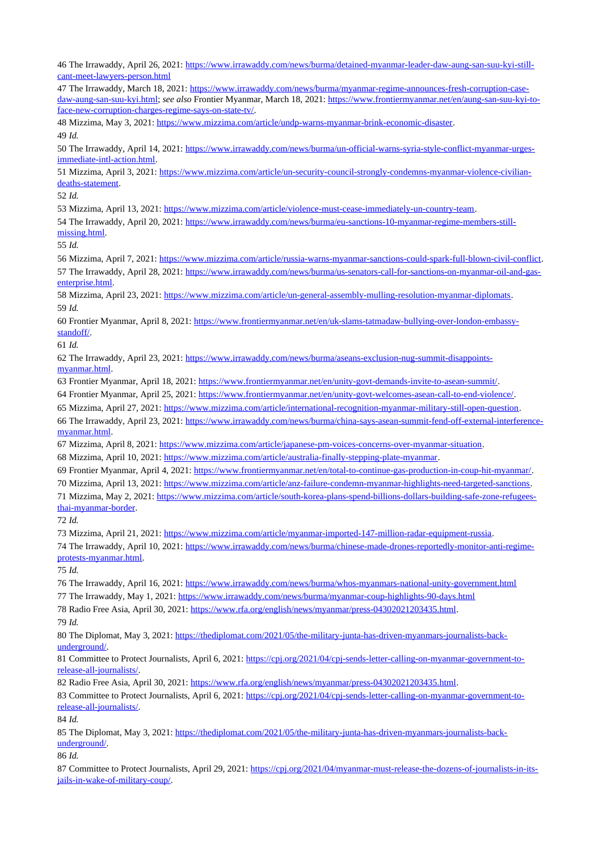The Irrawaddy, April 26, 2021: [https://www.irrawaddy.com/news/burma/detained-myanmar-leader-daw-aung-san-suu-kyi-still](https://www.irrawaddy.com/news/burma/detained-myanmar-leader-daw-aung-san-suu-kyi-still-cant-meet-lawyers-person.html)[cant-meet-lawyers-person.html](https://www.irrawaddy.com/news/burma/detained-myanmar-leader-daw-aung-san-suu-kyi-still-cant-meet-lawyers-person.html) The Irrawaddy, March 18, 2021: [https://www.irrawaddy.com/news/burma/myanmar-regime-announces-fresh-corruption-case](https://www.irrawaddy.com/news/burma/myanmar-regime-announces-fresh-corruption-case-daw-aung-san-suu-kyi.html)[daw-aung-san-suu-kyi.html;](https://www.irrawaddy.com/news/burma/myanmar-regime-announces-fresh-corruption-case-daw-aung-san-suu-kyi.html) *see also* Frontier Myanmar, March 18, 2021: [https://www.frontiermyanmar.net/en/aung-san-suu-kyi-to](https://www.frontiermyanmar.net/en/aung-san-suu-kyi-to-face-new-corruption-charges-regime-says-on-state-tv/)[face-new-corruption-charges-regime-says-on-state-tv/.](https://www.frontiermyanmar.net/en/aung-san-suu-kyi-to-face-new-corruption-charges-regime-says-on-state-tv/) Mizzima, May 3, 2021: [https://www.mizzima.com/article/undp-warns-myanmar-brink-economic-disaster.](https://www.mizzima.com/article/undp-warns-myanmar-brink-economic-disaster) *Id.* 50 The Irrawaddy, April 14, 2021: [https://www.irrawaddy.com/news/burma/un-official-warns-syria-style-conflict-myanmar-urges](https://www.irrawaddy.com/news/burma/un-official-warns-syria-style-conflict-myanmar-urges-immediate-intl-action.html)[immediate-intl-action.html.](https://www.irrawaddy.com/news/burma/un-official-warns-syria-style-conflict-myanmar-urges-immediate-intl-action.html) Mizzima, April 3, 2021: [https://www.mizzima.com/article/un-security-council-strongly-condemns-myanmar-violence-civilian](https://www.mizzima.com/article/un-security-council-strongly-condemns-myanmar-violence-civilian-deaths-statement)[deaths-statement.](https://www.mizzima.com/article/un-security-council-strongly-condemns-myanmar-violence-civilian-deaths-statement) *Id.* Mizzima, April 13, 2021: [https://www.mizzima.com/article/violence-must-cease-immediately-un-country-team.](https://www.mizzima.com/article/violence-must-cease-immediately-un-country-team) The Irrawaddy, April 20, 2021: [https://www.irrawaddy.com/news/burma/eu-sanctions-10-myanmar-regime-members-still](https://www.irrawaddy.com/news/burma/eu-sanctions-10-myanmar-regime-members-still-missing.html)[missing.html.](https://www.irrawaddy.com/news/burma/eu-sanctions-10-myanmar-regime-members-still-missing.html) *Id.* Mizzima, April 7, 2021: [https://www.mizzima.com/article/russia-warns-myanmar-sanctions-could-spark-full-blown-civil-conflict.](https://www.mizzima.com/article/russia-warns-myanmar-sanctions-could-spark-full-blown-civil-conflict) The Irrawaddy, April 28, 2021: [https://www.irrawaddy.com/news/burma/us-senators-call-for-sanctions-on-myanmar-oil-and-gas](https://www.irrawaddy.com/news/burma/us-senators-call-for-sanctions-on-myanmar-oil-and-gas-enterprise.html)[enterprise.html.](https://www.irrawaddy.com/news/burma/us-senators-call-for-sanctions-on-myanmar-oil-and-gas-enterprise.html) Mizzima, April 23, 2021: [https://www.mizzima.com/article/un-general-assembly-mulling-resolution-myanmar-diplomats.](https://www.mizzima.com/article/un-general-assembly-mulling-resolution-myanmar-diplomats) *Id.* Frontier Myanmar, April 8, 2021: [https://www.frontiermyanmar.net/en/uk-slams-tatmadaw-bullying-over-london-embassy](https://www.frontiermyanmar.net/en/uk-slams-tatmadaw-bullying-over-london-embassy-standoff/)[standoff/.](https://www.frontiermyanmar.net/en/uk-slams-tatmadaw-bullying-over-london-embassy-standoff/) *Id.* The Irrawaddy, April 23, 2021: [https://www.irrawaddy.com/news/burma/aseans-exclusion-nug-summit-disappoints](https://www.irrawaddy.com/news/burma/aseans-exclusion-nug-summit-disappoints-myanmar.html)[myanmar.html.](https://www.irrawaddy.com/news/burma/aseans-exclusion-nug-summit-disappoints-myanmar.html) Frontier Myanmar, April 18, 2021: [https://www.frontiermyanmar.net/en/unity-govt-demands-invite-to-asean-summit/.](https://www.frontiermyanmar.net/en/unity-govt-demands-invite-to-asean-summit/) Frontier Myanmar, April 25, 2021: [https://www.frontiermyanmar.net/en/unity-govt-welcomes-asean-call-to-end-violence/.](https://www.frontiermyanmar.net/en/unity-govt-welcomes-asean-call-to-end-violence/) Mizzima, April 27, 2021: [https://www.mizzima.com/article/international-recognition-myanmar-military-still-open-question.](https://www.mizzima.com/article/international-recognition-myanmar-military-still-open-question) The Irrawaddy, April 23, 2021: [https://www.irrawaddy.com/news/burma/china-says-asean-summit-fend-off-external-interference](https://www.irrawaddy.com/news/burma/china-says-asean-summit-fend-off-external-interference-myanmar.html)[myanmar.html.](https://www.irrawaddy.com/news/burma/china-says-asean-summit-fend-off-external-interference-myanmar.html) Mizzima, April 8, 2021: [https://www.mizzima.com/article/japanese-pm-voices-concerns-over-myanmar-situation.](https://www.mizzima.com/article/japanese-pm-voices-concerns-over-myanmar-situation) Mizzima, April 10, 2021: [https://www.mizzima.com/article/australia-finally-stepping-plate-myanmar.](https://www.mizzima.com/article/australia-finally-stepping-plate-myanmar) Frontier Myanmar, April 4, 2021: [https://www.frontiermyanmar.net/en/total-to-continue-gas-production-in-coup-hit-myanmar/.](https://www.frontiermyanmar.net/en/total-to-continue-gas-production-in-coup-hit-myanmar/) Mizzima, April 13, 2021: [https://www.mizzima.com/article/anz-failure-condemn-myanmar-highlights-need-targeted-sanctions.](https://www.mizzima.com/article/anz-failure-condemn-myanmar-highlights-need-targeted-sanctions) Mizzima, May 2, 2021: [https://www.mizzima.com/article/south-korea-plans-spend-billions-dollars-building-safe-zone-refugees](https://www.mizzima.com/article/south-korea-plans-spend-billions-dollars-building-safe-zone-refugees-thai-myanmar-border)[thai-myanmar-border.](https://www.mizzima.com/article/south-korea-plans-spend-billions-dollars-building-safe-zone-refugees-thai-myanmar-border) *Id.* Mizzima, April 21, 2021: [https://www.mizzima.com/article/myanmar-imported-147-million-radar-equipment-russia.](https://www.mizzima.com/article/myanmar-imported-147-million-radar-equipment-russia) The Irrawaddy, April 10, 2021: [https://www.irrawaddy.com/news/burma/chinese-made-drones-reportedly-monitor-anti-regime](https://www.irrawaddy.com/news/burma/chinese-made-drones-reportedly-monitor-anti-regime-protests-myanmar.html)[protests-myanmar.html.](https://www.irrawaddy.com/news/burma/chinese-made-drones-reportedly-monitor-anti-regime-protests-myanmar.html) *Id.* The Irrawaddy, April 16, 2021:<https://www.irrawaddy.com/news/burma/whos-myanmars-national-unity-government.html> The Irrawaddy, May 1, 2021:<https://www.irrawaddy.com/news/burma/myanmar-coup-highlights-90-days.html> Radio Free Asia, April 30, 2021: [https://www.rfa.org/english/news/myanmar/press-04302021203435.html.](https://www.rfa.org/english/news/myanmar/press-04302021203435.html) *Id.* 80 The Diplomat, May 3, 2021: [https://thediplomat.com/2021/05/the-military-junta-has-driven-myanmars-journalists-back](https://thediplomat.com/2021/05/the-military-junta-has-driven-myanmars-journalists-back-underground/)[underground/.](https://thediplomat.com/2021/05/the-military-junta-has-driven-myanmars-journalists-back-underground/) 81 Committee to Protect Journalists, April 6, 2021: [https://cpj.org/2021/04/cpj-sends-letter-calling-on-myanmar-government-to](https://cpj.org/2021/04/cpj-sends-letter-calling-on-myanmar-government-to-release-all-journalists/)[release-all-journalists/.](https://cpj.org/2021/04/cpj-sends-letter-calling-on-myanmar-government-to-release-all-journalists/) 82 Radio Free Asia, April 30, 2021: [https://www.rfa.org/english/news/myanmar/press-04302021203435.html.](https://www.rfa.org/english/news/myanmar/press-04302021203435.html) 83 Committee to Protect Journalists, April 6, 2021: [https://cpj.org/2021/04/cpj-sends-letter-calling-on-myanmar-government-to](https://cpj.org/2021/04/cpj-sends-letter-calling-on-myanmar-government-to-release-all-journalists/)[release-all-journalists/.](https://cpj.org/2021/04/cpj-sends-letter-calling-on-myanmar-government-to-release-all-journalists/) *Id.* The Diplomat, May 3, 2021: [https://thediplomat.com/2021/05/the-military-junta-has-driven-myanmars-journalists-back](https://thediplomat.com/2021/05/the-military-junta-has-driven-myanmars-journalists-back-underground/)[underground/.](https://thediplomat.com/2021/05/the-military-junta-has-driven-myanmars-journalists-back-underground/) *Id.* 87 Committee to Protect Journalists, April 29, 2021: [https://cpj.org/2021/04/myanmar-must-release-the-dozens-of-journalists-in-its](https://cpj.org/2021/04/myanmar-must-release-the-dozens-of-journalists-in-its-jails-in-wake-of-military-coup/)[jails-in-wake-of-military-coup/.](https://cpj.org/2021/04/myanmar-must-release-the-dozens-of-journalists-in-its-jails-in-wake-of-military-coup/)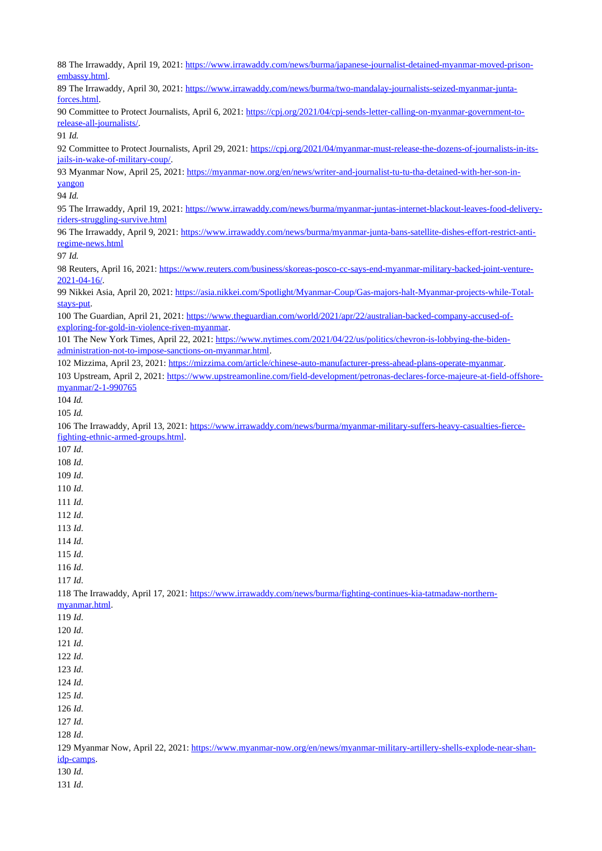The Irrawaddy, April 19, 2021: [https://www.irrawaddy.com/news/burma/japanese-journalist-detained-myanmar-moved-prison](https://www.irrawaddy.com/news/burma/japanese-journalist-detained-myanmar-moved-prison-embassy.html)[embassy.html.](https://www.irrawaddy.com/news/burma/japanese-journalist-detained-myanmar-moved-prison-embassy.html) The Irrawaddy, April 30, 2021: [https://www.irrawaddy.com/news/burma/two-mandalay-journalists-seized-myanmar-junta](https://www.irrawaddy.com/news/burma/two-mandalay-journalists-seized-myanmar-junta-forces.html)[forces.html.](https://www.irrawaddy.com/news/burma/two-mandalay-journalists-seized-myanmar-junta-forces.html) Committee to Protect Journalists, April 6, 2021: [https://cpj.org/2021/04/cpj-sends-letter-calling-on-myanmar-government-to](https://cpj.org/2021/04/cpj-sends-letter-calling-on-myanmar-government-to-release-all-journalists/)[release-all-journalists/.](https://cpj.org/2021/04/cpj-sends-letter-calling-on-myanmar-government-to-release-all-journalists/) *Id.* Committee to Protect Journalists, April 29, 2021: [https://cpj.org/2021/04/myanmar-must-release-the-dozens-of-journalists-in-its](https://cpj.org/2021/04/myanmar-must-release-the-dozens-of-journalists-in-its-jails-in-wake-of-military-coup/)[jails-in-wake-of-military-coup/.](https://cpj.org/2021/04/myanmar-must-release-the-dozens-of-journalists-in-its-jails-in-wake-of-military-coup/) Myanmar Now, April 25, 2021: [https://myanmar-now.org/en/news/writer-and-journalist-tu-tu-tha-detained-with-her-son-in](https://myanmar-now.org/en/news/writer-and-journalist-tu-tu-tha-detained-with-her-son-in-yangon)[yangon](https://myanmar-now.org/en/news/writer-and-journalist-tu-tu-tha-detained-with-her-son-in-yangon) *Id.* The Irrawaddy, April 19, 2021: [https://www.irrawaddy.com/news/burma/myanmar-juntas-internet-blackout-leaves-food-delivery](https://www.irrawaddy.com/news/burma/myanmar-juntas-internet-blackout-leaves-food-delivery-riders-struggling-survive.html)[riders-struggling-survive.html](https://www.irrawaddy.com/news/burma/myanmar-juntas-internet-blackout-leaves-food-delivery-riders-struggling-survive.html) The Irrawaddy, April 9, 2021: [https://www.irrawaddy.com/news/burma/myanmar-junta-bans-satellite-dishes-effort-restrict-anti](https://www.irrawaddy.com/news/burma/myanmar-junta-bans-satellite-dishes-effort-restrict-anti-regime-news.html)[regime-news.html](https://www.irrawaddy.com/news/burma/myanmar-junta-bans-satellite-dishes-effort-restrict-anti-regime-news.html) *Id.* Reuters, April 16, 2021: [https://www.reuters.com/business/skoreas-posco-cc-says-end-myanmar-military-backed-joint-venture-](https://www.reuters.com/business/skoreas-posco-cc-says-end-myanmar-military-backed-joint-venture-2021-04-16/)[2021-04-16/.](https://www.reuters.com/business/skoreas-posco-cc-says-end-myanmar-military-backed-joint-venture-2021-04-16/) Nikkei Asia, April 20, 2021: [https://asia.nikkei.com/Spotlight/Myanmar-Coup/Gas-majors-halt-Myanmar-projects-while-Total](https://asia.nikkei.com/Spotlight/Myanmar-Coup/Gas-majors-halt-Myanmar-projects-while-Total-stays-put)[stays-put.](https://asia.nikkei.com/Spotlight/Myanmar-Coup/Gas-majors-halt-Myanmar-projects-while-Total-stays-put) The Guardian, April 21, 2021: [https://www.theguardian.com/world/2021/apr/22/australian-backed-company-accused-of](https://www.theguardian.com/world/2021/apr/22/australian-backed-company-accused-of-exploring-for-gold-in-violence-riven-myanmar)[exploring-for-gold-in-violence-riven-myanmar.](https://www.theguardian.com/world/2021/apr/22/australian-backed-company-accused-of-exploring-for-gold-in-violence-riven-myanmar) The New York Times, April 22, 2021: [https://www.nytimes.com/2021/04/22/us/politics/chevron-is-lobbying-the-biden](https://www.nytimes.com/2021/04/22/us/politics/chevron-is-lobbying-the-biden-administration-not-to-impose-sanctions-on-myanmar.html)[administration-not-to-impose-sanctions-on-myanmar.html.](https://www.nytimes.com/2021/04/22/us/politics/chevron-is-lobbying-the-biden-administration-not-to-impose-sanctions-on-myanmar.html) Mizzima, April 23, 2021: [https://mizzima.com/article/chinese-auto-manufacturer-press-ahead-plans-operate-myanmar.](https://mizzima.com/article/chinese-auto-manufacturer-press-ahead-plans-operate-myanmar) Upstream, April 2, 2021: [https://www.upstreamonline.com/field-development/petronas-declares-force-majeure-at-field-offshore](https://www.upstreamonline.com/field-development/petronas-declares-force-majeure-at-field-offshore-myanmar/2-1-990765)[myanmar/2-1-990765](https://www.upstreamonline.com/field-development/petronas-declares-force-majeure-at-field-offshore-myanmar/2-1-990765) *Id. Id.* The Irrawaddy, April 13, 2021: [https://www.irrawaddy.com/news/burma/myanmar-military-suffers-heavy-casualties-fierce](https://www.irrawaddy.com/news/burma/myanmar-military-suffers-heavy-casualties-fierce-fighting-ethnic-armed-groups.html)[fighting-ethnic-armed-groups.html.](https://www.irrawaddy.com/news/burma/myanmar-military-suffers-heavy-casualties-fierce-fighting-ethnic-armed-groups.html) *Id*. *Id*. *Id*. *Id*. *Id*. *Id*. *Id*. *Id*. *Id*. *Id*. *Id*. The Irrawaddy, April 17, 2021: [https://www.irrawaddy.com/news/burma/fighting-continues-kia-tatmadaw-northern](https://www.irrawaddy.com/news/burma/fighting-continues-kia-tatmadaw-northern-myanmar.html)[myanmar.html.](https://www.irrawaddy.com/news/burma/fighting-continues-kia-tatmadaw-northern-myanmar.html) *Id*. *Id*. *Id*. *Id*. *Id*. *Id*. *Id*. *Id*. *Id*. *Id*. Myanmar Now, April 22, 2021: [https://www.myanmar-now.org/en/news/myanmar-military-artillery-shells-explode-near-shan](https://www.myanmar-now.org/en/news/myanmar-military-artillery-shells-explode-near-shan-idp-camps)[idp-camps.](https://www.myanmar-now.org/en/news/myanmar-military-artillery-shells-explode-near-shan-idp-camps) *Id*. *Id*.